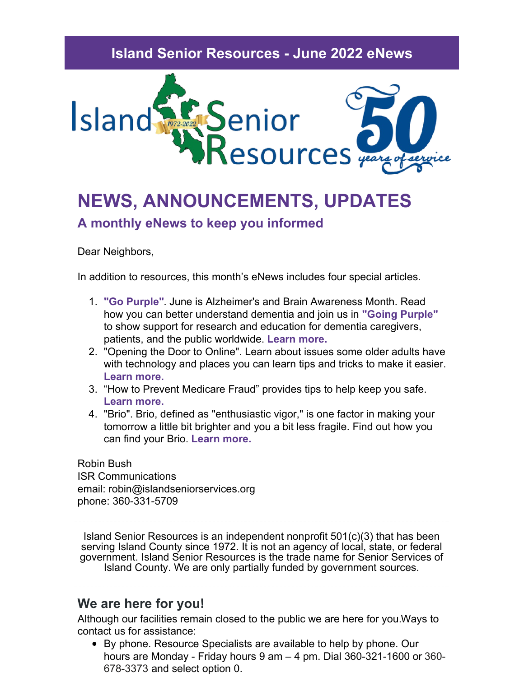## **Island Senior Resources - June 2022 eNews**



# **NEWS, ANNOUNCEMENTS, UPDATES A monthly eNews to keep you informed**

Dear Neighbors,

In addition to resources, this month's eNews includes four special articles.

- 1. **"Go Purple"**. June is Alzheimer's and Brain Awareness Month. Read how you can better understand dementia and join us in **"Going Purple"** to show support for research and education for dementia caregivers, patients, and the public worldwide. **[Learn](https://senior-resources.org/go-purple/) more.**
- 2. "Opening the Door to Online". Learn about issues some older adults have with technology and places you can learn tips and tricks to make it easier. **[Learn](https://senior-resources.org/opening-the-door/) more.**
- 3. "How to Prevent Medicare Fraud" provides tips to help keep you safe. **[Learn](https://senior-resources.org/you-can-help-to-prevent-medicare-fraud/) more.**
- 4. "Brio". Brio, defined as "enthusiastic vigor," is one factor in making your tomorrow a little bit brighter and you a bit less fragile. Find out how you can find your Brio. **[Learn](https://senior-resources.org/brio/) more.**

Robin Bush ISR Communications email: robin@islandseniorservices.org phone: 360-331-5709

Island Senior Resources is an independent nonprofit 501(c)(3) that has been serving Island County since 1972. It is not an agency of local, state, or federal government. Island Senior Resources is the trade name for Senior Services of Island County. We are only partially funded by government sources.

### **We are here for you!**

Although our facilities remain closed to the public we are here for you.Ways to contact us for assistance:

By phone. Resource Specialists are available to help by phone. Our hours are Monday - Friday hours 9 am – 4 pm. Dial 360-321-1600 or 360- 678-3373 and select option 0.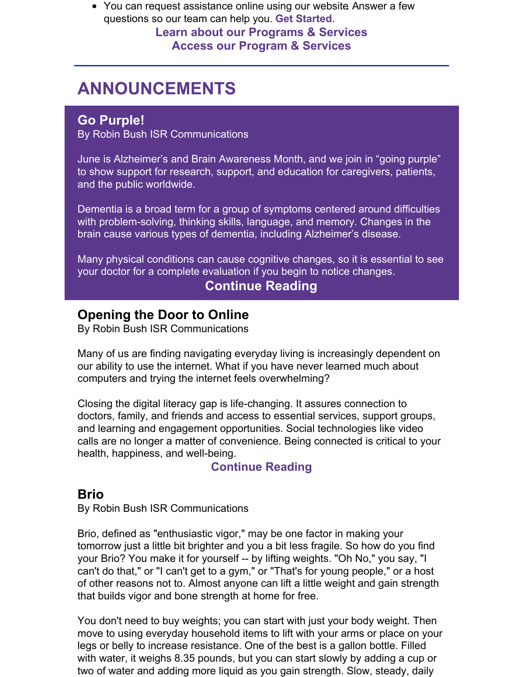• You can request assistance online using our website Answer a few questions so our team can help you. **Get [Started](https://senior-resources.org/request-assistance/)**. **Learn about our [Programs](https://senior-resources.org/services-resources/) & Services Access our [Program](https://senior-resources.org/request-assistance/) & Services**

# **ANNOUNCEMENTS**

### **Go Purple!**

By Robin Bush ISR Communications

June is Alzheimer's and Brain Awareness Month, and we join in "going purple" to show support for research, support, and education for caregivers, patients, and the public worldwide.

Dementia is a broad term for a group of symptoms centered around difficulties with problem-solving, thinking skills, language, and memory. Changes in the brain cause various types of dementia, including Alzheimer's disease.

Many physical conditions can cause cognitive changes, so it is essential to see your doctor for a complete evaluation if you begin to notice changes.

# **[Continue](https://senior-resources.org/go-purple/) Reading**

### **Opening the Door to Online**

By Robin Bush ISR Communications

Many of us are finding navigating everyday living is increasingly dependent on our ability to use the internet. What if you have never learned much about computers and trying the internet feels overwhelming?

Closing the digital literacy gap is life-changing. It assures connection to doctors, family, and friends and access to essential services, support groups, and learning and engagement opportunities. Social technologies like video calls are no longer a matter of convenience. Being connected is critical to your health, happiness, and well-being.

### **[Continue](https://senior-resources.org/opening-the-door/) Reading**

# **Brio**

By Robin Bush ISR Communications

Brio, defined as "enthusiastic vigor," may be one factor in making your tomorrow just a little bit brighter and you a bit less fragile. So how do you find your Brio? You make it for yourself -- by lifting weights. "Oh No," you say, "I can't do that," or "I can't get to a gym," or "That's for young people," or a host of other reasons not to. Almost anyone can lift a little weight and gain strength that builds vigor and bone strength at home for free.

You don't need to buy weights; you can start with just your body weight. Then move to using everyday household items to lift with your arms or place on your legs or belly to increase resistance. One of the best is a gallon bottle. Filled with water, it weighs 8.35 pounds, but you can start slowly by adding a cup or two of water and adding more liquid as you gain strength. Slow, steady, daily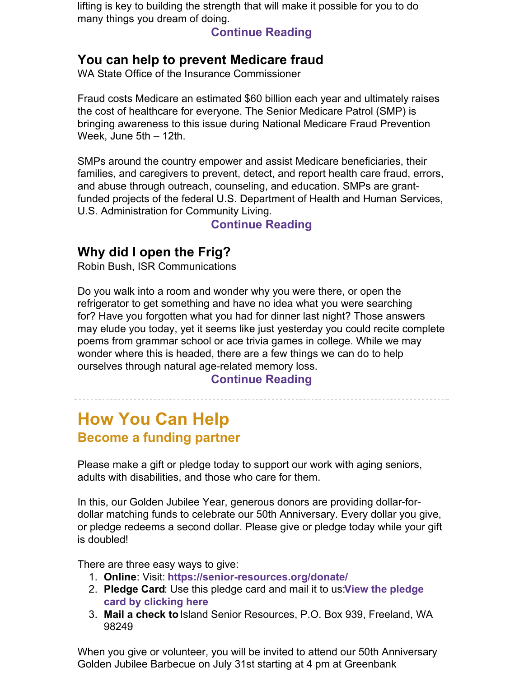lifting is key to building the strength that will make it possible for you to do many things you dream of doing.

**[Continue](https://senior-resources.org/brio/) Reading**

### **You can help to prevent Medicare fraud**

WA State Office of the Insurance Commissioner

Fraud costs Medicare an estimated \$60 billion each year and ultimately raises the cost of healthcare for everyone. The Senior Medicare Patrol (SMP) is bringing awareness to this issue during National Medicare Fraud Prevention Week, June 5th – 12th.

SMPs around the country empower and assist Medicare beneficiaries, their families, and caregivers to prevent, detect, and report health care fraud, errors, and abuse through outreach, counseling, and education. SMPs are grantfunded projects of the federal U.S. Department of Health and Human Services, U.S. Administration for Community Living.

### **[Continue](https://senior-resources.org/you-can-help-to-prevent-medicare-fraud/) Reading**

# **Why did I open the Frig?**

Robin Bush, ISR Communications

Do you walk into a room and wonder why you were there, or open the refrigerator to get something and have no idea what you were searching for? Have you forgotten what you had for dinner last night? Those answers may elude you today, yet it seems like just yesterday you could recite complete poems from grammar school or ace trivia games in college. While we may wonder where this is headed, there are a few things we can do to help ourselves through natural age-related memory loss.

**[Continue](https://senior-resources.org/help-for-memory-loss/) Reading**

# **How You Can Help Become a funding partner**

Please make a gift or pledge today to support our work with aging seniors, adults with disabilities, and those who care for them.

In this, our Golden Jubilee Year, generous donors are providing dollar-fordollar matching funds to celebrate our 50th Anniversary. Every dollar you give, or pledge redeems a second dollar. Please give or pledge today while your gift is doubled!

There are three easy ways to give:

- 1. **Online**: Visit: **<https://senior-resources.org/donate/>**
- 2. **Pledge Card**: Use this pledge card and mail it to us:**View the pledge card by [clicking](https://senior-resources.org/wp-content/uploads/2022/02/2022_Pledge_Card-1.pdf) here**
- 3. **Mail a check to**Island Senior Resources, P.O. Box 939, Freeland, WA 98249

When you give or volunteer, you will be invited to attend our 50th Anniversary Golden Jubilee Barbecue on July 31st starting at 4 pm at Greenbank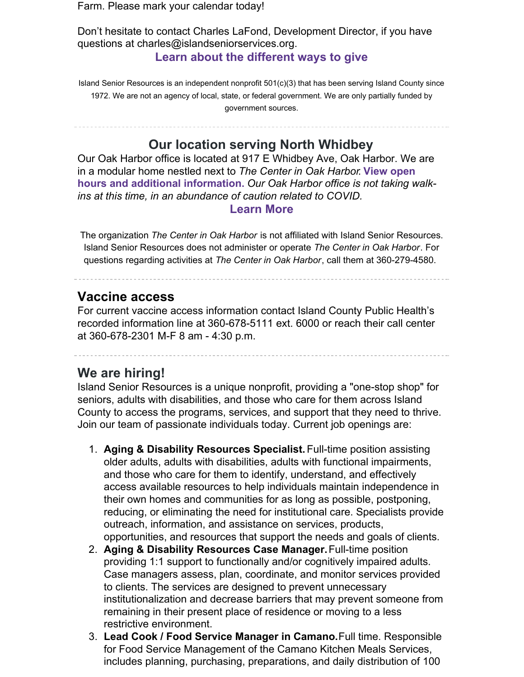Farm. Please mark your calendar today!

Don't hesitate to contact Charles LaFond, Development Director, if you have questions at charles@islandseniorservices.org. **Learn about the [different](http://www.senior-resources.org/donate) ways to give**

Island Senior Resources is an independent nonprofit 501(c)(3) that has been serving Island County since 1972. We are not an agency of local, state, or federal government. We are only partially funded by government sources.

**Our location serving North Whidbey**

Our Oak Harbor office is located at 917 E Whidbey Ave, Oak Harbor. We are in a modular home nestled next to *The Center in Oak Harbor*. **View open hours and additional [information.](https://senior-resources.org/oakharbor/)** *Our Oak Harbor office is not taking walkins at this time, in an abundance of caution related to COVID.*

#### **[Learn](https://senior-resources.org/oakharbor/) More**

The organization *The Center in Oak Harbor* is not affiliated with Island Senior Resources. Island Senior Resources does not administer or operate *The Center in Oak Harbor*. For questions regarding activities at *The Center in Oak Harbor*, call them at 360-279-4580.

### **Vaccine access**

For current vaccine access information contact Island County Public Health's recorded information line at 360-678-5111 ext. 6000 or reach their call center at 360-678-2301 M-F 8 am - 4:30 p.m.

### **We are hiring!**

Island Senior Resources is a unique nonprofit, providing a "one-stop shop" for seniors, adults with disabilities, and those who care for them across Island County to access the programs, services, and support that they need to thrive. Join our team of passionate individuals today. Current job openings are:

- 1. **Aging & Disability Resources Specialist.** Full-time position assisting older adults, adults with disabilities, adults with functional impairments, and those who care for them to identify, understand, and effectively access available resources to help individuals maintain independence in their own homes and communities for as long as possible, postponing, reducing, or eliminating the need for institutional care. Specialists provide outreach, information, and assistance on services, products, opportunities, and resources that support the needs and goals of clients.
- 2. **Aging & Disability Resources Case Manager.**Full-time position providing 1:1 support to functionally and/or cognitively impaired adults. Case managers assess, plan, coordinate, and monitor services provided to clients. The services are designed to prevent unnecessary institutionalization and decrease barriers that may prevent someone from remaining in their present place of residence or moving to a less restrictive environment.
- 3. **Lead Cook / Food Service Manager in Camano.**Full time. Responsible for Food Service Management of the Camano Kitchen Meals Services, includes planning, purchasing, preparations, and daily distribution of 100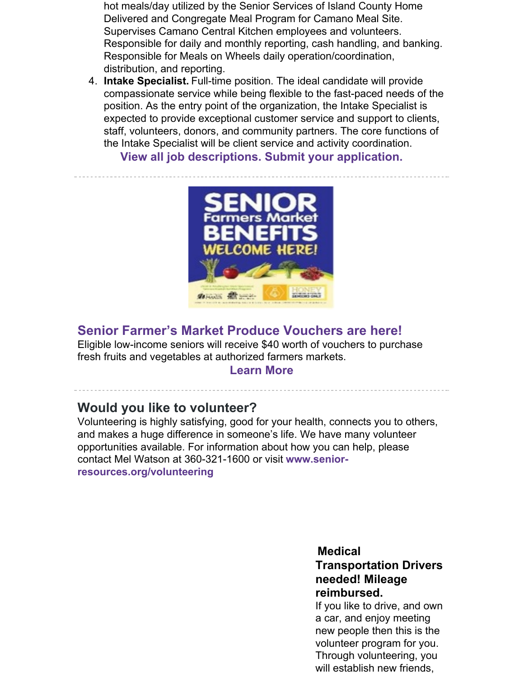hot meals/day utilized by the Senior Services of Island County Home Delivered and Congregate Meal Program for Camano Meal Site. Supervises Camano Central Kitchen employees and volunteers. Responsible for daily and monthly reporting, cash handling, and banking. Responsible for Meals on Wheels daily operation/coordination, distribution, and reporting.

4. **Intake Specialist.** Full-time position. The ideal candidate will provide compassionate service while being flexible to the fast-paced needs of the position. As the entry point of the organization, the Intake Specialist is expected to provide exceptional customer service and support to clients, staff, volunteers, donors, and community partners. The core functions of the Intake Specialist will be client service and activity coordination.

**View all job [descriptions.](https://senior-resources.org/employment/) Submit your application.**



# **Senior Farmer's Market Produce Vouchers are here!**

Eligible low-income seniors will receive \$40 worth of vouchers to purchase fresh fruits and vegetables at authorized farmers markets.

#### **[Learn](https://senior-resources.org/2022-senior-farmers-market-produce-vouchers-are-here/) More**

### **Would you like to volunteer?**

Volunteering is highly satisfying, good for your health, connects you to others, and makes a huge difference in someone's life. We have many volunteer opportunities available. For information about how you can help, please contact Mel Watson at 360-321-1600 or visit **www.senior[resources.org/volunteering](http://www.senior-resources.org/volunteering)**

#### **Medical**

### **Transportation Drivers needed! Mileage reimbursed.**

If you like to drive, and own a car, and enjoy meeting new people then this is the volunteer program for you. Through volunteering, you will establish new friends,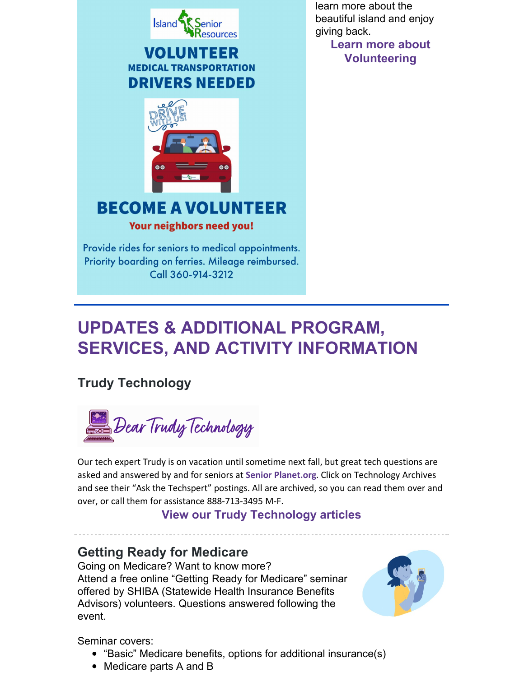

Provide rides for seniors to medical appointments. Priority boarding on ferries. Mileage reimbursed. Call 360-914-3212

learn more about the beautiful island and enjoy giving back.

**Learn more about [Volunteering](http://www.senior-resources.org/volunteering)**

# **UPDATES & ADDITIONAL PROGRAM, SERVICES, AND ACTIVITY INFORMATION**

# **Trudy Technology**



Our tech expert Trudy is on vacation until sometime next fall, but great tech questions are asked and answered by and for seniors at **Senior [Planet.org](http://www.seniorplanet.org)**. Click on Technology Archives and see their "Ask the Techspert" postings. All are archived, so you can read them over and over, or call them for assistance 888-713-3495 M-F.

### **View our Trudy [Technology](https://senior-resources.org/category/trudy-technology/) articles**

# **Getting Ready for Medicare**

Going on Medicare? Want to know more? Attend a free online "Getting Ready for Medicare" seminar offered by SHIBA (Statewide Health Insurance Benefits Advisors) volunteers. Questions answered following the event.



Seminar covers:

- "Basic" Medicare benefits, options for additional insurance(s)
- Medicare parts A and B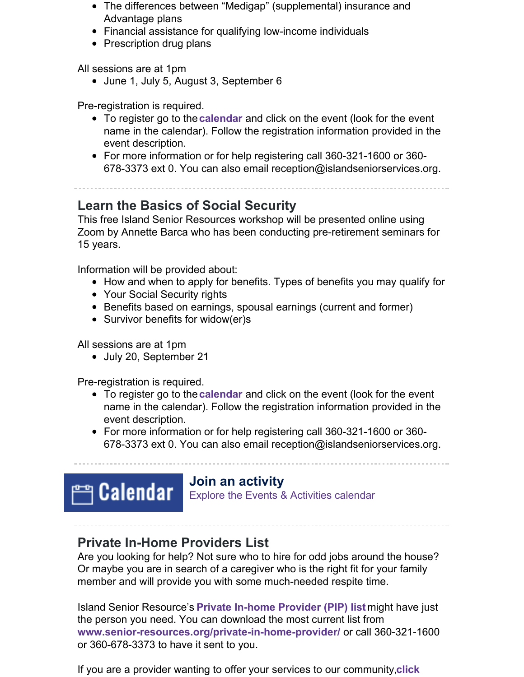- The differences between "Medigap" (supplemental) insurance and Advantage plans
- Financial assistance for qualifying low-income individuals
- Prescription drug plans

All sessions are at 1pm

• June 1, July 5, August 3, September 6

Pre-registration is required.

- To register go to the**[calendar](https://senior-resources.org/calendar/)** and click on the event (look for the event name in the calendar). Follow the registration information provided in the event description.
- For more information or for help registering call 360-321-1600 or 360- 678-3373 ext 0. You can also email reception@islandseniorservices.org.

# **Learn the Basics of Social Security**

This free Island Senior Resources workshop will be presented online using Zoom by Annette Barca who has been conducting pre-retirement seminars for 15 years.

Information will be provided about:

- How and when to apply for benefits. Types of benefits you may qualify for
- Your Social Security rights
- Benefits based on earnings, spousal earnings (current and former)
- Survivor benefits for widow(er)s

All sessions are at 1pm

• July 20, September 21

Pre-registration is required.

- To register go to the**[calendar](https://senior-resources.org/calendar/)** and click on the event (look for the event name in the calendar). Follow the registration information provided in the event description.
- For more information or for help registering call 360-321-1600 or 360- 678-3373 ext 0. You can also email reception@islandseniorservices.org.



### **Join an activity**

Explore the Events & [Activities](https://senior-resources.org/calendar/) calendar

# **Private In-Home Providers List**

Are you looking for help? Not sure who to hire for odd jobs around the house? Or maybe you are in search of a caregiver who is the right fit for your family member and will provide you with some much-needed respite time.

Island Senior Resource's **Private In-home [Provider](https://senior-resources.org/private-in-home-provider/) (PIP) list** might have just the person you need. You can download the most current list from **[www.senior-resources.org/private-in-home-provider/](https://senior-resources.org/private-in-home-provider/)** or call 360-321-1600 or 360-678-3373 to have it sent to you.

If you are a provider wanting to offer your services to our [community,](https://senior-resources.org/private-in-home-provider/)**click**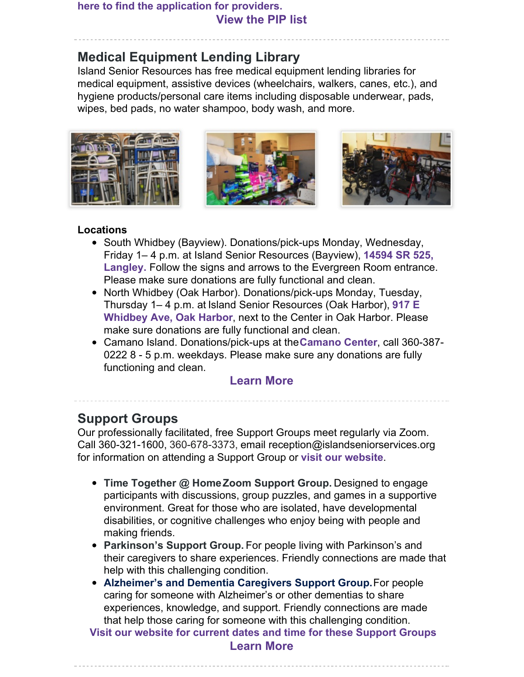#### **here to find the application for providers. [View](https://senior-resources.org/private-in-home-provider/) the PIP list**

# **Medical Equipment Lending Library**

Island Senior Resources has free medical equipment lending libraries for medical equipment, assistive devices (wheelchairs, walkers, canes, etc.), and hygiene products/personal care items including disposable underwear, pads, wipes, bed pads, no water shampoo, body wash, and more.







#### **Locations**

- South Whidbey (Bayview). Donations/pick-ups Monday, Wednesday, Friday 1– 4 p.m. at Island Senior [Resources](https://maps.google.com/maps?ll=48.002927,-122.458735&z=16&t=m&hl=en-US&gl=US&mapclient=embed&cid=5892569662548173270) (Bayview), **14594 SR 525, Langley.** Follow the signs and arrows to the Evergreen Room entrance. Please make sure donations are fully functional and clean.
- North Whidbey (Oak Harbor). Donations/pick-ups Monday, Tuesday, Thursday 1– 4 p.m. at Island Senior [Resources](https://senior-resources.org/oakharbor/) (Oak Harbor), **917 E Whidbey Ave, Oak Harbor**, next to the Center in Oak Harbor. Please make sure donations are fully functional and clean.
- Camano Island. Donations/pick-ups at the**[Camano](http://www.camanocenter.org/) Center**, call 360-387- 0222 8 - 5 p.m. weekdays. Please make sure any donations are fully functioning and clean.

### **[Learn](https://senior-resources.org/medical-lending-library/) More**

## **Support Groups**

Our professionally facilitated, free Support Groups meet regularly via Zoom. Call 360-321-1600, 360-678-3373, email reception@islandseniorservices.org for information on attending a Support Group or **visit our [website](https://senior-resources.org/support-groups/)**.

- **Time Together @ HomeZoom Support Group.** Designed to engage participants with discussions, group puzzles, and games in a supportive environment. Great for those who are isolated, have developmental disabilities, or cognitive challenges who enjoy being with people and making friends.
- **Parkinson's Support Group.** For people living with Parkinson's and their caregivers to share experiences. Friendly connections are made that help with this challenging condition.
- **Alzheimer's and Dementia Caregivers Support Group.**For people caring for someone with Alzheimer's or other dementias to share experiences, knowledge, and support. Friendly connections are made that help those caring for someone with this challenging condition.

**Visit our website for current dates and time for these [Support](https://senior-resources.org/support-groups/) Groups [Learn](https://senior-resources.org/support-groups/) More**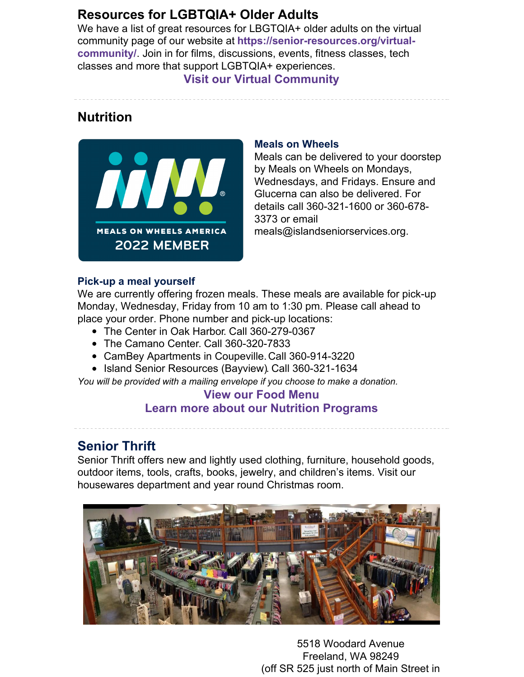# **Resources for LGBTQIA+ Older Adults**

We have a list of great resources for LBGTQIA+ older adults on the virtual community page of our website at **[https://senior-resources.org/virtual](https://senior-resources.org/virtual-community/)community/**. Join in for films, discussions, events, fitness classes, tech classes and more that support LGBTQIA+ experiences.

#### **Visit our Virtual [Community](https://senior-resources.org/virtual-community/.)**

## **Nutrition**



#### **Meals on Wheels**

Meals can be delivered to your doorstep by Meals on Wheels on Mondays, Wednesdays, and Fridays. Ensure and Glucerna can also be delivered. For details call 360-321-1600 or 360-678- 3373 or email meals@islandseniorservices.org.

#### **Pick-up a meal yourself**

We are currently offering frozen meals. These meals are available for pick-up Monday, Wednesday, Friday from 10 am to 1:30 pm. Please call ahead to place your order. Phone number and pick-up locations:

- The [Center](https://maps.google.com/maps?ll=48.298151,-122.645789&z=16&t=m&hl=en-US&gl=US&mapclient=embed&cid=11957943316045312330) in Oak Harbor. Call 360-279-0367
- The [Camano](https://maps.google.com/maps?ll=48.234223,-122.470195&z=16&t=m&hl=en-US&gl=US&mapclient=embed&cid=1494227740136422239) Center. Call 360-320-7833
- CamBey Apartments in Coupeville.Call 360-914-3220
- Island Senior [Resources](https://senior-resources.org/bayviewcenter-overview/) (Bayview). Call 360-321-1634

*You will be provided with a mailing envelope if you choose to make a donation.*

### **View our Food [Menu](https://senior-resources.org/nutritionmenu) Learn more about our Nutrition [Programs](https://senior-resources.org/nutrition-overview/)**

## **Senior Thrift**

Senior Thrift offers new and lightly used clothing, furniture, household goods, outdoor items, tools, crafts, books, jewelry, and children's items. Visit our housewares department and year round Christmas room.



5518 Woodard Avenue Freeland, WA 98249 (off SR 525 just north of Main Street in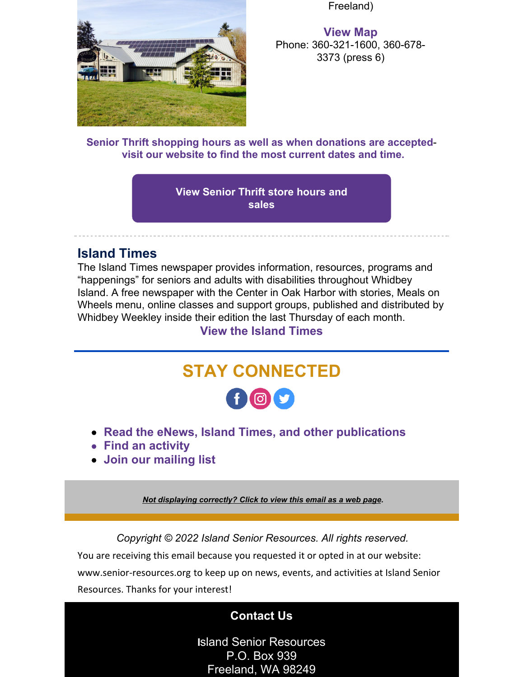

Freeland)

**[View](https://goo.gl/maps/DcvrmfD4Np958WWY6) Map** Phone: 360-321-1600, 360-678- 3373 (press 6)

**Senior Thrift shopping hours as well as when [donations](https://senior-resources.org/thriftstore/) are acceptedvisit our [website](https://senior-resources.org/thriftstore/) to find the most current dates and time.**

> **View [Senior](https://senior-resources.org/thriftstore-sales/) Thrift store hours and sales**

### **Island Times**

The Island Times newspaper provides information, resources, programs and "happenings" for seniors and adults with disabilities throughout Whidbey Island. A free newspaper with the Center in Oak Harbor with stories, Meals on Wheels menu, online classes and support groups, published and distributed by Whidbey Weekley inside their edition the last Thursday of each month.

### **View the [Island](https://senior-resources.org/island-times-news/) Times**



- **Read the eNews, Island Times, and other [publications](https://senior-resources.org/newsletter/)**
- **Find an [activity](https://senior-resources.org/calendar/)**
- **Join our [mailing](https://senior-resources.org/newsletter/) list**

*Not [displaying](https://campaignlp.constantcontact.com/em/1125901682476/b6d23888-a776-41f0-ab5d-ccef0440d833) correctly? Click to view this email as a web page.*

*Copyright © 2022 Island Senior Resources. All rights reserved.*

You are receiving this email because you requested it or opted in at our website: [www.senior-resources.org](https://senior-resources.org/) to keep up on news, events, and activities at Island Senior Resources. Thanks for your interest!

## **[Contact](https://senior-resources.org/staffdirectory/) Us**

**I**sland Senior Resources P.O. Box 939 Freeland, WA 98249